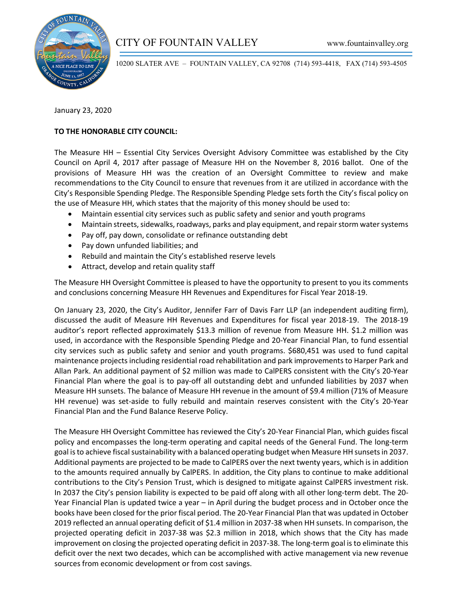

10200 SLATER AVE – FOUNTAIN VALLEY, CA 92708 (714) 593-4418, FAX (714) 593-4505

January 23, 2020

## **TO THE HONORABLE CITY COUNCIL:**

The Measure HH – Essential City Services Oversight Advisory Committee was established by the City Council on April 4, 2017 after passage of Measure HH on the November 8, 2016 ballot. One of the provisions of Measure HH was the creation of an Oversight Committee to review and make recommendations to the City Council to ensure that revenues from it are utilized in accordance with the City's Responsible Spending Pledge. The Responsible Spending Pledge sets forth the City's fiscal policy on the use of Measure HH, which states that the majority of this money should be used to:

- Maintain essential city services such as public safety and senior and youth programs
- Maintain streets, sidewalks, roadways, parks and play equipment, and repair storm water systems
- Pay off, pay down, consolidate or refinance outstanding debt
- Pay down unfunded liabilities; and
- Rebuild and maintain the City's established reserve levels
- Attract, develop and retain quality staff

The Measure HH Oversight Committee is pleased to have the opportunity to present to you its comments and conclusions concerning Measure HH Revenues and Expenditures for Fiscal Year 2018-19.

On January 23, 2020, the City's Auditor, Jennifer Farr of Davis Farr LLP (an independent auditing firm), discussed the audit of Measure HH Revenues and Expenditures for fiscal year 2018-19. The 2018-19 auditor's report reflected approximately \$13.3 million of revenue from Measure HH. \$1.2 million was used, in accordance with the Responsible Spending Pledge and 20-Year Financial Plan, to fund essential city services such as public safety and senior and youth programs. \$680,451 was used to fund capital maintenance projects including residential road rehabilitation and park improvements to Harper Park and Allan Park. An additional payment of \$2 million was made to CalPERS consistent with the City's 20-Year Financial Plan where the goal is to pay-off all outstanding debt and unfunded liabilities by 2037 when Measure HH sunsets. The balance of Measure HH revenue in the amount of \$9.4 million (71% of Measure HH revenue) was set-aside to fully rebuild and maintain reserves consistent with the City's 20-Year Financial Plan and the Fund Balance Reserve Policy.

The Measure HH Oversight Committee has reviewed the City's 20-Year Financial Plan, which guides fiscal policy and encompasses the long-term operating and capital needs of the General Fund. The long-term goal is to achieve fiscal sustainability with a balanced operating budget when Measure HH sunsets in 2037. Additional payments are projected to be made to CalPERS over the next twenty years, which is in addition to the amounts required annually by CalPERS. In addition, the City plans to continue to make additional contributions to the City's Pension Trust, which is designed to mitigate against CalPERS investment risk. In 2037 the City's pension liability is expected to be paid off along with all other long-term debt. The 20- Year Financial Plan is updated twice a year – in April during the budget process and in October once the books have been closed for the prior fiscal period. The 20-Year Financial Plan that was updated in October 2019 reflected an annual operating deficit of \$1.4 million in 2037-38 when HH sunsets. In comparison, the projected operating deficit in 2037-38 was \$2.3 million in 2018, which shows that the City has made improvement on closing the projected operating deficit in 2037-38. The long-term goal is to eliminate this deficit over the next two decades, which can be accomplished with active management via new revenue sources from economic development or from cost savings.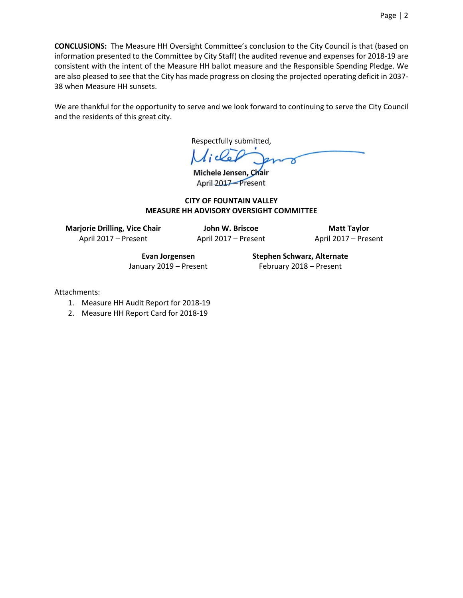We are thankful for the opportunity to serve and we look forward to continuing to serve the City Council and the residents of this great city.

Respectfully submitted,

Michele Jensen, Chair April 2017-Present

#### **CITY OF FOUNTAIN VALLEY MEASURE HH ADVISORY OVERSIGHT COMMITTEE**

**Marjorie Drilling, Vice Chair** April 2017 – Present

**John W. Briscoe** April 2017 – Present

**Matt Taylor** April 2017 – Present

**Evan Jorgensen** January 2019 – Present **Stephen Schwarz, Alternate** February 2018 – Present

Attachments:

- 1. Measure HH Audit Report for 2018-19
- 2. Measure HH Report Card for 2018-19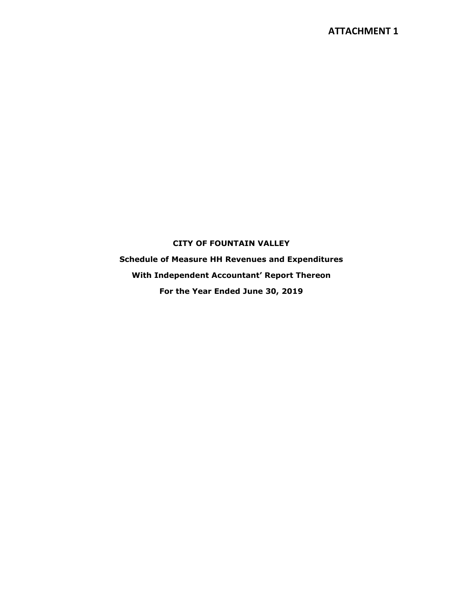## **CITY OF FOUNTAIN VALLEY**

**Schedule of Measure HH Revenues and Expenditures With Independent Accountant' Report Thereon For the Year Ended June 30, 2019**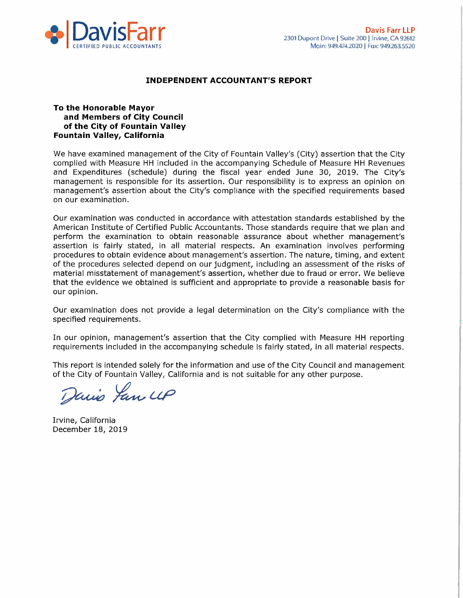

#### **INDEPENDENT ACCOUNTANT'S REPORT**

#### To the Honorable Mayor and Members of City Council of the City of Fountain Valley Fountain Valley, California

We have examined management of the City of Fountain Valley's (City) assertion that the City complied with Measure HH included in the accompanying Schedule of Measure HH Revenues and Expenditures (schedule) during the fiscal year ended June 30, 2019. The City's management is responsible for its assertion. Our responsibility is to express an opinion on management's assertion about the City's compliance with the specified requirements based on our examination.

Our examination was conducted in accordance with attestation standards established by the American Institute of Certified Public Accountants. Those standards require that we plan and perform the examination to obtain reasonable assurance about whether management's assertion is fairly stated, in all material respects. An examination involves performing procedures to obtain evidence about management's assertion. The nature, timing, and extent of the procedures selected depend on our judgment, including an assessment of the risks of material misstatement of management's assertion, whether due to fraud or error. We believe that the evidence we obtained is sufficient and appropriate to provide a reasonable basis for our opinion.

Our examination does not provide a legal determination on the City's compliance with the specified requirements.

In our opinion, management's assertion that the City complied with Measure HH reporting requirements included in the accompanying schedule is fairly stated, in all material respects.

This report is intended solely for the information and use of the City Council and management of the City of Fountain Valley, California and is not suitable for any other purpose.

Davis Jan UP

Irvine, California December 18, 2019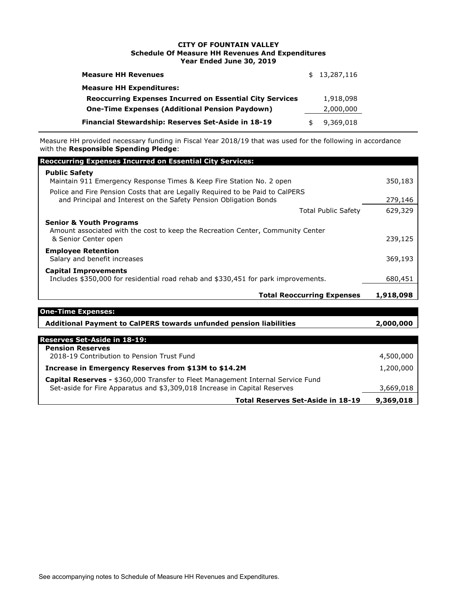#### **CITY OF FOUNTAIN VALLEY Schedule Of Measure HH Revenues And Expenditures Year Ended June 30, 2019**

| <b>Measure HH Revenues</b>                                      | \$13,287,116    |
|-----------------------------------------------------------------|-----------------|
| <b>Measure HH Expenditures:</b>                                 |                 |
| <b>Reoccurring Expenses Incurred on Essential City Services</b> | 1,918,098       |
| <b>One-Time Expenses (Additional Pension Paydown)</b>           | 2,000,000       |
| Financial Stewardship: Reserves Set-Aside in 18-19              | \$<br>9,369,018 |

Measure HH provided necessary funding in Fiscal Year 2018/19 that was used for the following in accordance with the **Responsible Spending Pledge**:

| <b>Reoccurring Expenses Incurred on Essential City Services:</b>                                                                                   |           |  |
|----------------------------------------------------------------------------------------------------------------------------------------------------|-----------|--|
| <b>Public Safety</b><br>Maintain 911 Emergency Response Times & Keep Fire Station No. 2 open                                                       | 350,183   |  |
| Police and Fire Pension Costs that are Legally Reguired to be Paid to CalPERS<br>and Principal and Interest on the Safety Pension Obligation Bonds |           |  |
| <b>Total Public Safety</b>                                                                                                                         | 629,329   |  |
| <b>Senior &amp; Youth Programs</b><br>Amount associated with the cost to keep the Recreation Center, Community Center<br>& Senior Center open      | 239,125   |  |
| <b>Employee Retention</b><br>Salary and benefit increases                                                                                          | 369,193   |  |
| <b>Capital Improvements</b><br>Includes \$350,000 for residential road rehab and \$330,451 for park improvements.                                  | 680,451   |  |
| <b>Total Reoccurring Expenses</b>                                                                                                                  | 1,918,098 |  |
| <b>One-Time Expenses:</b>                                                                                                                          |           |  |
| Additional Payment to CalPERS towards unfunded pension liabilities                                                                                 |           |  |

| <b>Reserves Set-Aside in 18-19:</b>                                             |           |
|---------------------------------------------------------------------------------|-----------|
| <b>Pension Reserves</b>                                                         |           |
| 2018-19 Contribution to Pension Trust Fund                                      | 4,500,000 |
| Increase in Emergency Reserves from \$13M to \$14.2M                            | 1,200,000 |
| Capital Reserves - \$360,000 Transfer to Fleet Management Internal Service Fund |           |
| Set-aside for Fire Apparatus and \$3,309,018 Increase in Capital Reserves       | 3,669,018 |
| Total Reserves Set-Aside in 18-19                                               | 9,369,018 |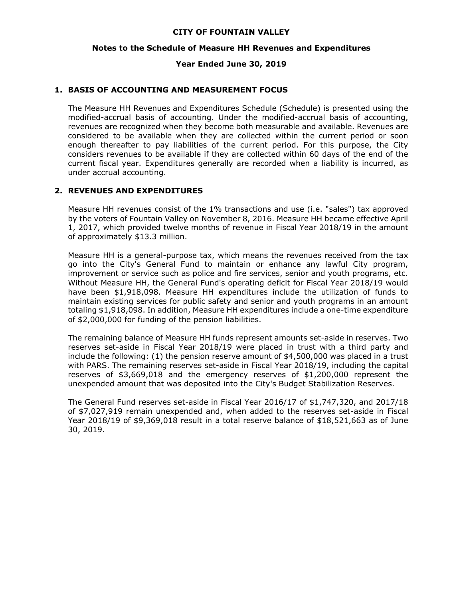#### **CITY OF FOUNTAIN VALLEY**

#### **Notes to the Schedule of Measure HH Revenues and Expenditures**

#### **Year Ended June 30, 2019**

#### **1. BASIS OF ACCOUNTING AND MEASUREMENT FOCUS**

The Measure HH Revenues and Expenditures Schedule (Schedule) is presented using the modified-accrual basis of accounting. Under the modified-accrual basis of accounting, revenues are recognized when they become both measurable and available. Revenues are considered to be available when they are collected within the current period or soon enough thereafter to pay liabilities of the current period. For this purpose, the City considers revenues to be available if they are collected within 60 days of the end of the current fiscal year. Expenditures generally are recorded when a liability is incurred, as under accrual accounting.

#### **2. REVENUES AND EXPENDITURES**

Measure HH revenues consist of the 1% transactions and use (i.e. "sales") tax approved by the voters of Fountain Valley on November 8, 2016. Measure HH became effective April 1, 2017, which provided twelve months of revenue in Fiscal Year 2018/19 in the amount of approximately \$13.3 million.

Measure HH is a general-purpose tax, which means the revenues received from the tax go into the City's General Fund to maintain or enhance any lawful City program, improvement or service such as police and fire services, senior and youth programs, etc. Without Measure HH, the General Fund's operating deficit for Fiscal Year 2018/19 would have been \$1,918,098. Measure HH expenditures include the utilization of funds to maintain existing services for public safety and senior and youth programs in an amount totaling \$1,918,098. In addition, Measure HH expenditures include a one-time expenditure of \$2,000,000 for funding of the pension liabilities.

The remaining balance of Measure HH funds represent amounts set-aside in reserves. Two reserves set-aside in Fiscal Year 2018/19 were placed in trust with a third party and include the following: (1) the pension reserve amount of \$4,500,000 was placed in a trust with PARS. The remaining reserves set-aside in Fiscal Year 2018/19, including the capital reserves of \$3,669,018 and the emergency reserves of \$1,200,000 represent the unexpended amount that was deposited into the City's Budget Stabilization Reserves.

The General Fund reserves set-aside in Fiscal Year 2016/17 of \$1,747,320, and 2017/18 of \$7,027,919 remain unexpended and, when added to the reserves set-aside in Fiscal Year 2018/19 of \$9,369,018 result in a total reserve balance of \$18,521,663 as of June 30, 2019.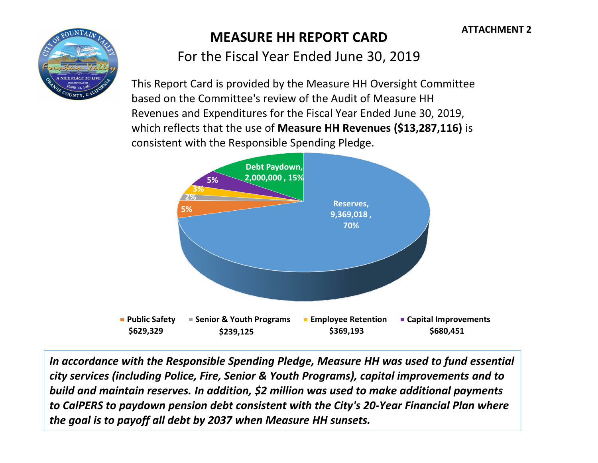

# **MEASURE HH REPORT CARD**

For the Fiscal Year Ended June 30, 2019

This Report Card is provided by the Measure HH Oversight Committee based on the Committee's review of the Audit of Measure HH Revenues and Expenditures for the Fiscal Year Ended June 30, 2019, which reflects that the use of **Measure HH Revenues (\$13,287,116)** is consistent with the Responsible Spending Pledge.



*In accordance with the Responsible Spending Pledge, Measure HH was used to fund essential city services (including Police, Fire, Senior & Youth Programs), capital improvements and to build and maintain reserves. In addition, \$2 million was used to make additional payments to CalPERS to paydown pension debt consistent with the City's 20-Year Financial Plan where the goal is to payoff all debt by 2037 when Measure HH sunsets.*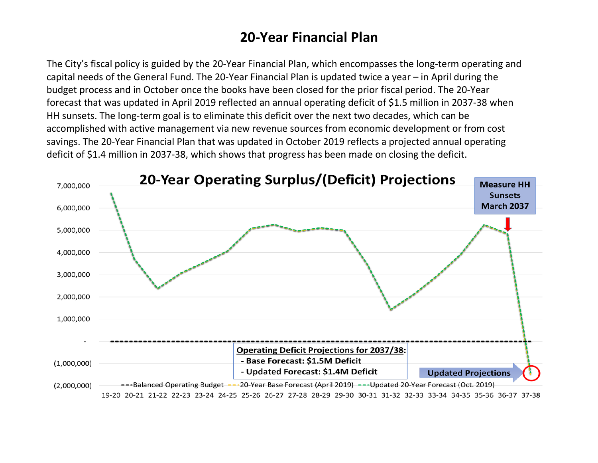# **20-Year Financial Plan**

The City's fiscal policy is guided by the 20-Year Financial Plan, which encompasses the long-term operating and capital needs of the General Fund. The 20-Year Financial Plan is updated twice a year – in April during the budget process and in October once the books have been closed for the prior fiscal period. The 20-Year forecast that was updated in April 2019 reflected an annual operating deficit of \$1.5 million in 2037-38 when HH sunsets. The long-term goal is to eliminate this deficit over the next two decades, which can be accomplished with active management via new revenue sources from economic development or from cost savings. The 20-Year Financial Plan that was updated in October 2019 reflects a projected annual operating deficit of \$1.4 million in 2037-38, which shows that progress has been made on closing the deficit.

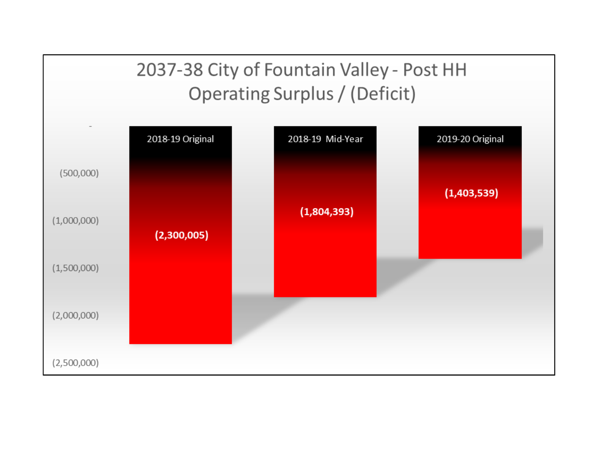# 2037-38 City of Fountain Valley - Post HH Operating Surplus / (Deficit)